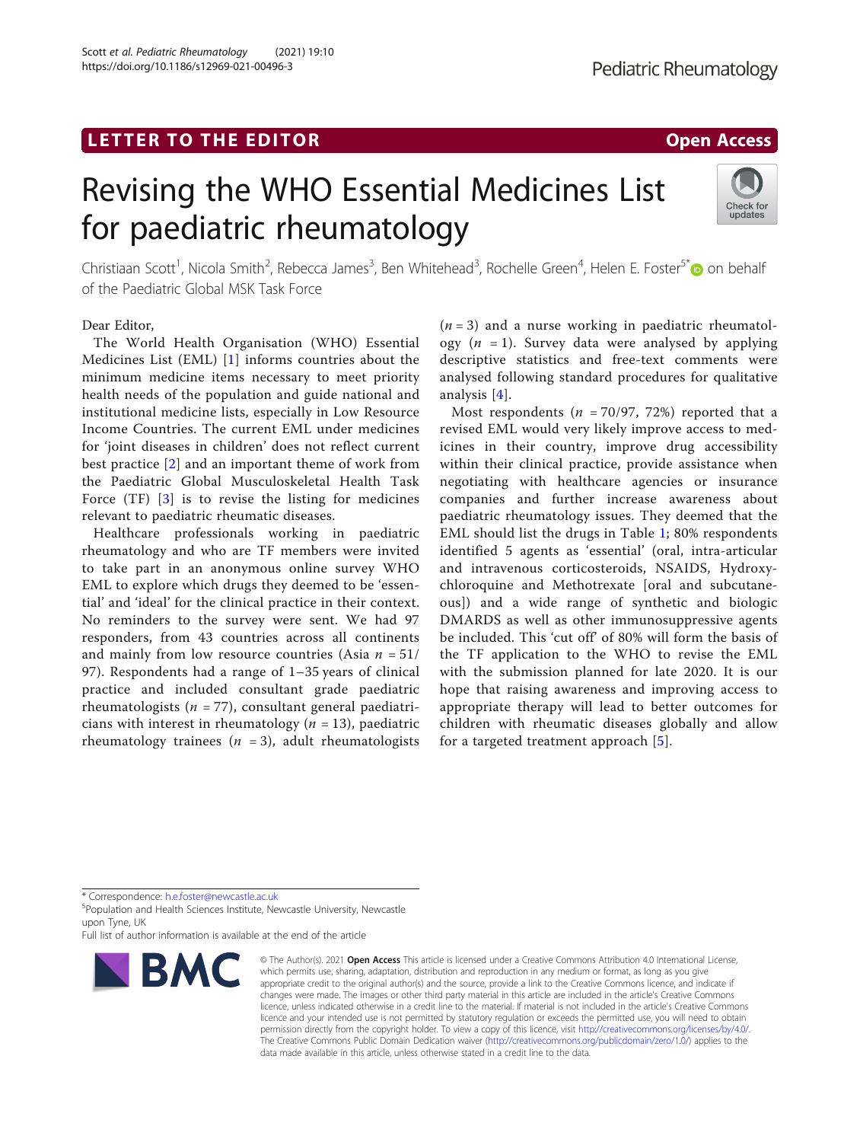## LETTER TO THE EDITOR And the state of the state of the state of the state of the state of the state of the state of the state of the state of the state of the state of the state of the state of the state of the state of th

Scott et al. Pediatric Rheumatology (2021) 19:10 https://doi.org/10.1186/s12969-021-00496-3

# Revising the WHO Essential Medicines List for paediatric rheumatology



Christiaan Scott<sup>1</sup>, Nicola Smith<sup>2</sup>, Rebecca James<sup>3</sup>, Ben Whitehead<sup>3</sup>, Rochelle Green<sup>4</sup>, Helen E. Foster<sup>5[\\*](http://orcid.org/0000-0001-8824-2546)</sup>@ on behalf of the Paediatric Global MSK Task Force

### Dear Editor,

The World Health Organisation (WHO) Essential Medicines List (EML) [[1\]](#page-1-0) informs countries about the minimum medicine items necessary to meet priority health needs of the population and guide national and institutional medicine lists, especially in Low Resource Income Countries. The current EML under medicines for 'joint diseases in children' does not reflect current best practice [[2\]](#page-1-0) and an important theme of work from the Paediatric Global Musculoskeletal Health Task Force (TF) [[3\]](#page-1-0) is to revise the listing for medicines relevant to paediatric rheumatic diseases.

Healthcare professionals working in paediatric rheumatology and who are TF members were invited to take part in an anonymous online survey WHO EML to explore which drugs they deemed to be 'essential' and 'ideal' for the clinical practice in their context. No reminders to the survey were sent. We had 97 responders, from 43 countries across all continents and mainly from low resource countries (Asia  $n = 51/$ 97). Respondents had a range of 1–35 years of clinical practice and included consultant grade paediatric rheumatologists ( $n = 77$ ), consultant general paediatricians with interest in rheumatology ( $n = 13$ ), paediatric rheumatology trainees ( $n = 3$ ), adult rheumatologists

 $(n = 3)$  and a nurse working in paediatric rheumatology  $(n = 1)$ . Survey data were analysed by applying descriptive statistics and free-text comments were analysed following standard procedures for qualitative analysis [[4\]](#page-1-0).

Most respondents ( $n = 70/97$ , 72%) reported that a revised EML would very likely improve access to medicines in their country, improve drug accessibility within their clinical practice, provide assistance when negotiating with healthcare agencies or insurance companies and further increase awareness about paediatric rheumatology issues. They deemed that the EML should list the drugs in Table [1;](#page-1-0) 80% respondents identified 5 agents as 'essential' (oral, intra-articular and intravenous corticosteroids, NSAIDS, Hydroxychloroquine and Methotrexate [oral and subcutaneous]) and a wide range of synthetic and biologic DMARDS as well as other immunosuppressive agents be included. This 'cut off' of 80% will form the basis of the TF application to the WHO to revise the EML with the submission planned for late 2020. It is our hope that raising awareness and improving access to appropriate therapy will lead to better outcomes for children with rheumatic diseases globally and allow for a targeted treatment approach [\[5](#page-1-0)].

\* Correspondence: [h.e.foster@newcastle.ac.uk](mailto:h.e.foster@newcastle.ac.uk) <sup>5</sup>

<sup>5</sup>Population and Health Sciences Institute, Newcastle University, Newcastle upon Tyne, UK

Full list of author information is available at the end of the article



<sup>©</sup> The Author(s), 2021 **Open Access** This article is licensed under a Creative Commons Attribution 4.0 International License, which permits use, sharing, adaptation, distribution and reproduction in any medium or format, as long as you give appropriate credit to the original author(s) and the source, provide a link to the Creative Commons licence, and indicate if changes were made. The images or other third party material in this article are included in the article's Creative Commons licence, unless indicated otherwise in a credit line to the material. If material is not included in the article's Creative Commons licence and your intended use is not permitted by statutory regulation or exceeds the permitted use, you will need to obtain permission directly from the copyright holder. To view a copy of this licence, visit [http://creativecommons.org/licenses/by/4.0/.](http://creativecommons.org/licenses/by/4.0/) The Creative Commons Public Domain Dedication waiver [\(http://creativecommons.org/publicdomain/zero/1.0/](http://creativecommons.org/publicdomain/zero/1.0/)) applies to the data made available in this article, unless otherwise stated in a credit line to the data.